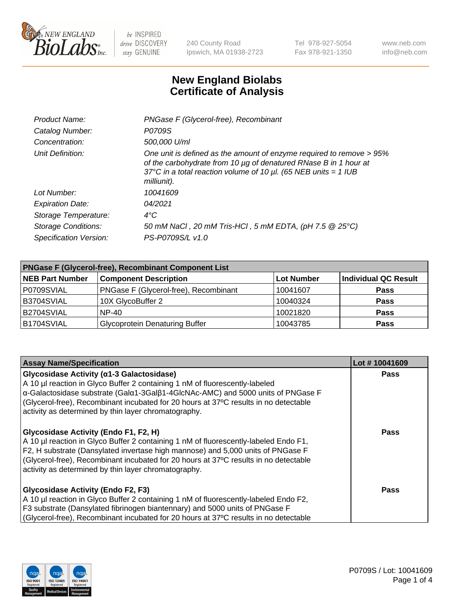

240 County Road Ipswich, MA 01938-2723 Tel 978-927-5054 Fax 978-921-1350 www.neb.com info@neb.com

## **New England Biolabs Certificate of Analysis**

| Product Name:              | PNGase F (Glycerol-free), Recombinant                                                                                                                                                                                           |
|----------------------------|---------------------------------------------------------------------------------------------------------------------------------------------------------------------------------------------------------------------------------|
| Catalog Number:            | P0709S                                                                                                                                                                                                                          |
| Concentration:             | 500,000 U/ml                                                                                                                                                                                                                    |
| Unit Definition:           | One unit is defined as the amount of enzyme required to remove > 95%<br>of the carbohydrate from 10 µg of denatured RNase B in 1 hour at<br>37°C in a total reaction volume of 10 $\mu$ l. (65 NEB units = 1 IUB<br>milliunit). |
| Lot Number:                | 10041609                                                                                                                                                                                                                        |
| <b>Expiration Date:</b>    | 04/2021                                                                                                                                                                                                                         |
| Storage Temperature:       | $4^{\circ}$ C                                                                                                                                                                                                                   |
| <b>Storage Conditions:</b> | 50 mM NaCl, 20 mM Tris-HCl, 5 mM EDTA, (pH 7.5 @ 25°C)                                                                                                                                                                          |
| Specification Version:     | PS-P0709S/L v1.0                                                                                                                                                                                                                |

| <b>PNGase F (Glycerol-free), Recombinant Component List</b> |                                       |                   |                      |  |
|-------------------------------------------------------------|---------------------------------------|-------------------|----------------------|--|
| <b>NEB Part Number</b>                                      | <b>Component Description</b>          | <b>Lot Number</b> | Individual QC Result |  |
| P0709SVIAL                                                  | PNGase F (Glycerol-free), Recombinant | 10041607          | <b>Pass</b>          |  |
| B3704SVIAL                                                  | 10X GlycoBuffer 2                     | 10040324          | <b>Pass</b>          |  |
| B2704SVIAL                                                  | <b>NP-40</b>                          | 10021820          | <b>Pass</b>          |  |
| B1704SVIAL                                                  | <b>Glycoprotein Denaturing Buffer</b> | 10043785          | <b>Pass</b>          |  |

| <b>Assay Name/Specification</b>                                                                                                                                                                                                                                                                                                                                  | Lot #10041609 |
|------------------------------------------------------------------------------------------------------------------------------------------------------------------------------------------------------------------------------------------------------------------------------------------------------------------------------------------------------------------|---------------|
| Glycosidase Activity (α1-3 Galactosidase)<br>A 10 µl reaction in Glyco Buffer 2 containing 1 nM of fluorescently-labeled<br>α-Galactosidase substrate (Galα1-3Galβ1-4GlcNAc-AMC) and 5000 units of PNGase F<br>(Glycerol-free), Recombinant incubated for 20 hours at 37°C results in no detectable<br>activity as determined by thin layer chromatography.      | Pass          |
| Glycosidase Activity (Endo F1, F2, H)<br>A 10 µl reaction in Glyco Buffer 2 containing 1 nM of fluorescently-labeled Endo F1,<br>F2, H substrate (Dansylated invertase high mannose) and 5,000 units of PNGase F<br>(Glycerol-free), Recombinant incubated for 20 hours at 37°C results in no detectable<br>activity as determined by thin layer chromatography. | Pass          |
| <b>Glycosidase Activity (Endo F2, F3)</b><br>A 10 µl reaction in Glyco Buffer 2 containing 1 nM of fluorescently-labeled Endo F2,<br>F3 substrate (Dansylated fibrinogen biantennary) and 5000 units of PNGase F<br>(Glycerol-free), Recombinant incubated for 20 hours at 37°C results in no detectable                                                         | Pass          |

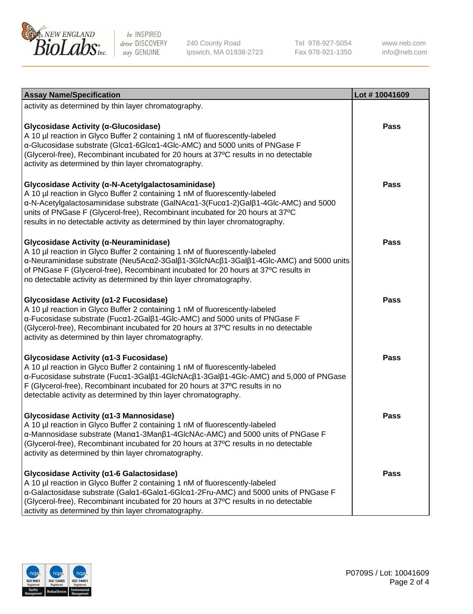

240 County Road Ipswich, MA 01938-2723 Tel 978-927-5054 Fax 978-921-1350

www.neb.com info@neb.com

| <b>Assay Name/Specification</b>                                                                                                                                                                                                                                                                                                                                                           | Lot #10041609 |
|-------------------------------------------------------------------------------------------------------------------------------------------------------------------------------------------------------------------------------------------------------------------------------------------------------------------------------------------------------------------------------------------|---------------|
| activity as determined by thin layer chromatography.                                                                                                                                                                                                                                                                                                                                      |               |
| Glycosidase Activity (a-Glucosidase)<br>A 10 µl reaction in Glyco Buffer 2 containing 1 nM of fluorescently-labeled<br>α-Glucosidase substrate (Glcα1-6Glcα1-4Glc-AMC) and 5000 units of PNGase F<br>(Glycerol-free), Recombinant incubated for 20 hours at 37°C results in no detectable<br>activity as determined by thin layer chromatography.                                         | <b>Pass</b>   |
| Glycosidase Activity (a-N-Acetylgalactosaminidase)<br>A 10 µl reaction in Glyco Buffer 2 containing 1 nM of fluorescently-labeled<br>α-N-Acetylgalactosaminidase substrate (GalNAcα1-3(Fucα1-2)Galβ1-4Glc-AMC) and 5000<br>units of PNGase F (Glycerol-free), Recombinant incubated for 20 hours at 37°C<br>results in no detectable activity as determined by thin layer chromatography. | <b>Pass</b>   |
| Glycosidase Activity (a-Neuraminidase)<br>A 10 µl reaction in Glyco Buffer 2 containing 1 nM of fluorescently-labeled<br>α-Neuraminidase substrate (Neu5Acα2-3Galβ1-3GlcNAcβ1-3Galβ1-4Glc-AMC) and 5000 units<br>of PNGase F (Glycerol-free), Recombinant incubated for 20 hours at 37°C results in<br>no detectable activity as determined by thin layer chromatography.                 | <b>Pass</b>   |
| Glycosidase Activity (α1-2 Fucosidase)<br>A 10 µl reaction in Glyco Buffer 2 containing 1 nM of fluorescently-labeled<br>α-Fucosidase substrate (Fucα1-2Galβ1-4Glc-AMC) and 5000 units of PNGase F<br>(Glycerol-free), Recombinant incubated for 20 hours at 37°C results in no detectable<br>activity as determined by thin layer chromatography.                                        | <b>Pass</b>   |
| Glycosidase Activity (α1-3 Fucosidase)<br>A 10 µl reaction in Glyco Buffer 2 containing 1 nM of fluorescently-labeled<br>α-Fucosidase substrate (Fucα1-3Galβ1-4GlcNAcβ1-3Galβ1-4Glc-AMC) and 5,000 of PNGase<br>F (Glycerol-free), Recombinant incubated for 20 hours at 37°C results in no<br>detectable activity as determined by thin layer chromatography.                            | <b>Pass</b>   |
| Glycosidase Activity (α1-3 Mannosidase)<br>A 10 µl reaction in Glyco Buffer 2 containing 1 nM of fluorescently-labeled<br>α-Mannosidase substrate (Manα1-3Manβ1-4GlcNAc-AMC) and 5000 units of PNGase F<br>(Glycerol-free), Recombinant incubated for 20 hours at 37°C results in no detectable<br>activity as determined by thin layer chromatography.                                   | <b>Pass</b>   |
| Glycosidase Activity (a1-6 Galactosidase)<br>A 10 µl reaction in Glyco Buffer 2 containing 1 nM of fluorescently-labeled<br>α-Galactosidase substrate (Galα1-6Galα1-6Glcα1-2Fru-AMC) and 5000 units of PNGase F<br>(Glycerol-free), Recombinant incubated for 20 hours at 37°C results in no detectable<br>activity as determined by thin layer chromatography.                           | <b>Pass</b>   |

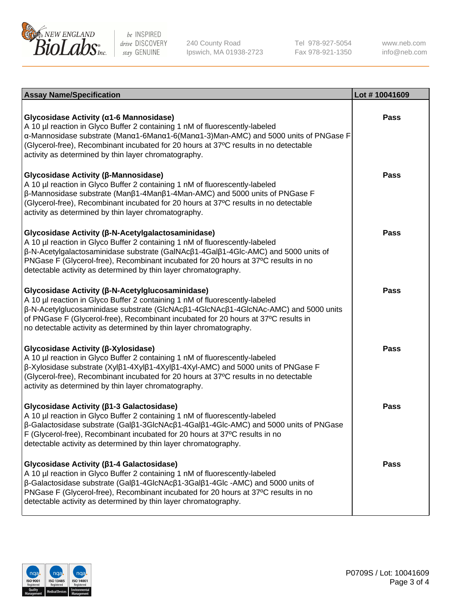

240 County Road Ipswich, MA 01938-2723 Tel 978-927-5054 Fax 978-921-1350

www.neb.com info@neb.com

| <b>Assay Name/Specification</b>                                                                                                                                                                                                                                                                                                                                                                    | Lot #10041609 |
|----------------------------------------------------------------------------------------------------------------------------------------------------------------------------------------------------------------------------------------------------------------------------------------------------------------------------------------------------------------------------------------------------|---------------|
| Glycosidase Activity (α1-6 Mannosidase)<br>A 10 µl reaction in Glyco Buffer 2 containing 1 nM of fluorescently-labeled<br>α-Mannosidase substrate (Μanα1-6Μanα1-6(Μanα1-3)Man-AMC) and 5000 units of PNGase F<br>(Glycerol-free), Recombinant incubated for 20 hours at 37°C results in no detectable<br>activity as determined by thin layer chromatography.                                      | Pass          |
| Glycosidase Activity (β-Mannosidase)<br>A 10 µl reaction in Glyco Buffer 2 containing 1 nM of fluorescently-labeled<br>$\beta$ -Mannosidase substrate (Man $\beta$ 1-4Man $\beta$ 1-4Man-AMC) and 5000 units of PNGase F<br>(Glycerol-free), Recombinant incubated for 20 hours at 37°C results in no detectable<br>activity as determined by thin layer chromatography.                           | <b>Pass</b>   |
| Glycosidase Activity (β-N-Acetylgalactosaminidase)<br>A 10 µl reaction in Glyco Buffer 2 containing 1 nM of fluorescently-labeled<br>β-N-Acetylgalactosaminidase substrate (GalNAcβ1-4Galβ1-4Glc-AMC) and 5000 units of<br>PNGase F (Glycerol-free), Recombinant incubated for 20 hours at 37°C results in no<br>detectable activity as determined by thin layer chromatography.                   | <b>Pass</b>   |
| Glycosidase Activity (β-N-Acetylglucosaminidase)<br>A 10 µl reaction in Glyco Buffer 2 containing 1 nM of fluorescently-labeled<br>β-N-Acetylglucosaminidase substrate (GlcNAcβ1-4GlcNAcβ1-4GlcNAc-AMC) and 5000 units<br>of PNGase F (Glycerol-free), Recombinant incubated for 20 hours at 37°C results in<br>no detectable activity as determined by thin layer chromatography.                 | <b>Pass</b>   |
| Glycosidase Activity (β-Xylosidase)<br>A 10 µl reaction in Glyco Buffer 2 containing 1 nM of fluorescently-labeled<br>β-Xylosidase substrate (Xylβ1-4Xylβ1-4Xylβ1-4Xyl-AMC) and 5000 units of PNGase F<br>(Glycerol-free), Recombinant incubated for 20 hours at 37°C results in no detectable<br>activity as determined by thin layer chromatography.                                             | <b>Pass</b>   |
| Glycosidase Activity (β1-3 Galactosidase)<br>A 10 µl reaction in Glyco Buffer 2 containing 1 nM of fluorescently-labeled<br>$\beta$ -Galactosidase substrate (Gal $\beta$ 1-3GlcNAc $\beta$ 1-4Gal $\beta$ 1-4Glc-AMC) and 5000 units of PNGase<br>F (Glycerol-free), Recombinant incubated for 20 hours at 37°C results in no<br>detectable activity as determined by thin layer chromatography.  | <b>Pass</b>   |
| Glycosidase Activity (ß1-4 Galactosidase)<br>A 10 µl reaction in Glyco Buffer 2 containing 1 nM of fluorescently-labeled<br>$\beta$ -Galactosidase substrate (Gal $\beta$ 1-4GlcNAc $\beta$ 1-3Gal $\beta$ 1-4Glc -AMC) and 5000 units of<br>PNGase F (Glycerol-free), Recombinant incubated for 20 hours at 37°C results in no<br>detectable activity as determined by thin layer chromatography. | Pass          |